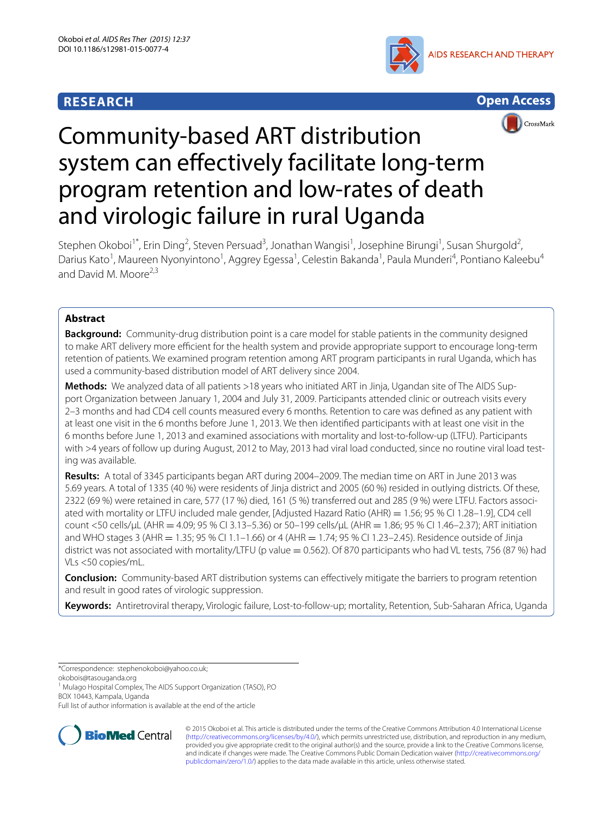## **RESEARCH**





# Community-based ART distribution system can effectively facilitate long-term program retention and low-rates of death and virologic failure in rural Uganda

Stephen Okoboi<sup>1\*</sup>, Erin Ding<sup>2</sup>, Steven Persuad<sup>3</sup>, Jonathan Wangisi<sup>1</sup>, Josephine Birungi<sup>1</sup>, Susan Shurgold<sup>2</sup>, Darius Kato<sup>1</sup>, Maureen Nyonyintono<sup>1</sup>, Aggrey Egessa<sup>1</sup>, Celestin Bakanda<sup>1</sup>, Paula Munderi<sup>4</sup>, Pontiano Kaleebu<sup>4</sup> and David M. Moore $2,3$ 

## **Abstract**

**Background:** Community-drug distribution point is a care model for stable patients in the community designed to make ART delivery more efficient for the health system and provide appropriate support to encourage long-term retention of patients. We examined program retention among ART program participants in rural Uganda, which has used a community-based distribution model of ART delivery since 2004.

**Methods:** We analyzed data of all patients >18 years who initiated ART in Jinja, Ugandan site of The AIDS Support Organization between January 1, 2004 and July 31, 2009. Participants attended clinic or outreach visits every 2–3 months and had CD4 cell counts measured every 6 months. Retention to care was defined as any patient with at least one visit in the 6 months before June 1, 2013. We then identified participants with at least one visit in the 6 months before June 1, 2013 and examined associations with mortality and lost-to-follow-up (LTFU). Participants with >4 years of follow up during August, 2012 to May, 2013 had viral load conducted, since no routine viral load testing was available.

**Results:** A total of 3345 participants began ART during 2004–2009. The median time on ART in June 2013 was 5.69 years. A total of 1335 (40 %) were residents of Jinja district and 2005 (60 %) resided in outlying districts. Of these, 2322 (69 %) were retained in care, 577 (17 %) died, 161 (5 %) transferred out and 285 (9 %) were LTFU. Factors associated with mortality or LTFU included male gender, [Adjusted Hazard Ratio (AHR) = 1.56; 95 % CI 1.28-1.9], CD4 cell count <50 cells/μL (AHR = 4.09; 95 % CI 3.13–5.36) or 50–199 cells/μL (AHR = 1.86; 95 % CI 1.46–2.37); ART initiation and WHO stages 3 (AHR = 1.35; 95 % CI 1.1-1.66) or 4 (AHR = 1.74; 95 % CI 1.23-2.45). Residence outside of Jinja district was not associated with mortality/LTFU (p value = 0.562). Of 870 participants who had VL tests, 756 (87 %) had VLs <50 copies/mL.

**Conclusion:** Community-based ART distribution systems can effectively mitigate the barriers to program retention and result in good rates of virologic suppression.

**Keywords:** Antiretroviral therapy, Virologic failure, Lost-to-follow-up; mortality, Retention, Sub-Saharan Africa, Uganda

\*Correspondence: stephenokoboi@yahoo.co.uk;

Full list of author information is available at the end of the article



© 2015 Okoboi et al. This article is distributed under the terms of the Creative Commons Attribution 4.0 International License [\(http://creativecommons.org/licenses/by/4.0/\)](http://creativecommons.org/licenses/by/4.0/), which permits unrestricted use, distribution, and reproduction in any medium, provided you give appropriate credit to the original author(s) and the source, provide a link to the Creative Commons license, and indicate if changes were made. The Creative Commons Public Domain Dedication waiver ([http://creativecommons.org/](http://creativecommons.org/publicdomain/zero/1.0/) [publicdomain/zero/1.0/](http://creativecommons.org/publicdomain/zero/1.0/)) applies to the data made available in this article, unless otherwise stated.

okobois@tasouganda.org

<sup>&</sup>lt;sup>1</sup> Mulago Hospital Complex, The AIDS Support Organization (TASO), P.O BOX 10443, Kampala, Uganda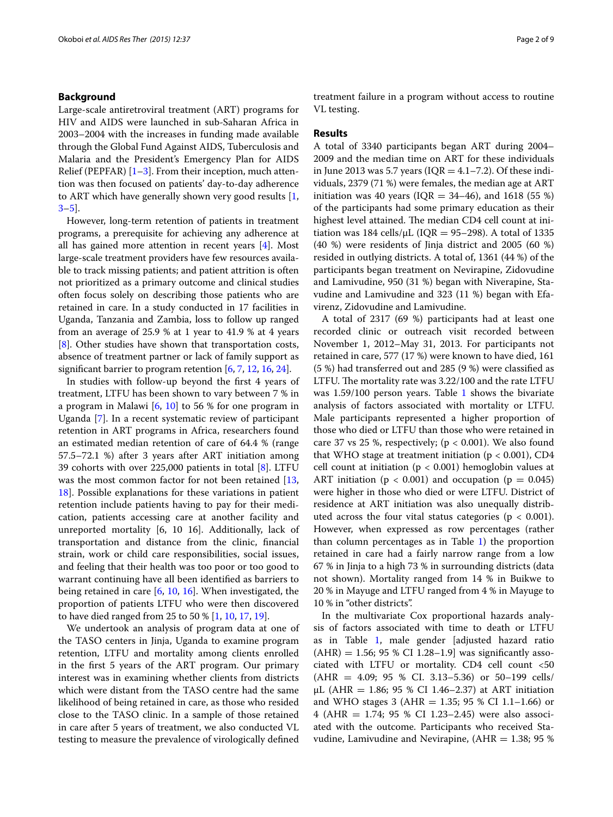#### **Background**

Large-scale antiretroviral treatment (ART) programs for HIV and AIDS were launched in sub-Saharan Africa in 2003–2004 with the increases in funding made available through the Global Fund Against AIDS, Tuberculosis and Malaria and the President's Emergency Plan for AIDS Relief (PEPFAR)  $[1-3]$  $[1-3]$ . From their inception, much attention was then focused on patients' day-to-day adherence to ART which have generally shown very good results [\[1](#page-7-0), [3–](#page-7-1)[5](#page-7-2)].

However, long-term retention of patients in treatment programs, a prerequisite for achieving any adherence at all has gained more attention in recent years [\[4\]](#page-7-3). Most large-scale treatment providers have few resources available to track missing patients; and patient attrition is often not prioritized as a primary outcome and clinical studies often focus solely on describing those patients who are retained in care. In a study conducted in 17 facilities in Uganda, Tanzania and Zambia, loss to follow up ranged from an average of 25.9 % at 1 year to 41.9 % at 4 years [[8\]](#page-8-0). Other studies have shown that transportation costs, absence of treatment partner or lack of family support as significant barrier to program retention [\[6](#page-7-4), [7,](#page-7-5) [12,](#page-8-1) [16,](#page-8-2) [24](#page-8-3)].

In studies with follow-up beyond the first 4 years of treatment, LTFU has been shown to vary between 7 % in a program in Malawi [\[6](#page-7-4), [10](#page-8-4)] to 56 % for one program in Uganda [[7\]](#page-7-5). In a recent systematic review of participant retention in ART programs in Africa, researchers found an estimated median retention of care of 64.4 % (range 57.5–72.1 %) after 3 years after ART initiation among 39 cohorts with over 225,000 patients in total [\[8](#page-8-0)]. LTFU was the most common factor for not been retained [\[13](#page-8-5), [18\]](#page-8-6). Possible explanations for these variations in patient retention include patients having to pay for their medication, patients accessing care at another facility and unreported mortality [6, 10 16]. Additionally, lack of transportation and distance from the clinic, financial strain, work or child care responsibilities, social issues, and feeling that their health was too poor or too good to warrant continuing have all been identified as barriers to being retained in care [[6,](#page-7-4) [10](#page-8-4), [16](#page-8-2)]. When investigated, the proportion of patients LTFU who were then discovered to have died ranged from 25 to 50 % [[1,](#page-7-0) [10,](#page-8-4) [17](#page-8-7), [19\]](#page-8-8).

We undertook an analysis of program data at one of the TASO centers in Jinja, Uganda to examine program retention, LTFU and mortality among clients enrolled in the first 5 years of the ART program. Our primary interest was in examining whether clients from districts which were distant from the TASO centre had the same likelihood of being retained in care, as those who resided close to the TASO clinic. In a sample of those retained in care after 5 years of treatment, we also conducted VL testing to measure the prevalence of virologically defined treatment failure in a program without access to routine VL testing.

#### **Results**

A total of 3340 participants began ART during 2004– 2009 and the median time on ART for these individuals in June 2013 was 5.7 years ( $IQR = 4.1 - 7.2$ ). Of these individuals, 2379 (71 %) were females, the median age at ART initiation was 40 years ( $IQR = 34-46$ ), and 1618 (55 %) of the participants had some primary education as their highest level attained. The median CD4 cell count at initiation was 184 cells/ $\mu$ L (IQR = 95–298). A total of 1335 (40 %) were residents of Jinja district and 2005 (60 %) resided in outlying districts. A total of, 1361 (44 %) of the participants began treatment on Nevirapine, Zidovudine and Lamivudine, 950 (31 %) began with Niverapine, Stavudine and Lamivudine and 323 (11 %) began with Efavirenz, Zidovudine and Lamivudine.

A total of 2317 (69 %) participants had at least one recorded clinic or outreach visit recorded between November 1, 2012–May 31, 2013. For participants not retained in care, 577 (17 %) were known to have died, 161 (5 %) had transferred out and 285 (9 %) were classified as LTFU. The mortality rate was 3.22/100 and the rate LTFU was  $1.59/100$  $1.59/100$  person years. Table 1 shows the bivariate analysis of factors associated with mortality or LTFU. Male participants represented a higher proportion of those who died or LTFU than those who were retained in care 37 vs 25 %, respectively; ( $p < 0.001$ ). We also found that WHO stage at treatment initiation ( $p < 0.001$ ), CD4 cell count at initiation ( $p < 0.001$ ) hemoglobin values at ART initiation ( $p < 0.001$ ) and occupation ( $p = 0.045$ ) were higher in those who died or were LTFU. District of residence at ART initiation was also unequally distributed across the four vital status categories ( $p < 0.001$ ). However, when expressed as row percentages (rather than column percentages as in Table  $1$ ) the proportion retained in care had a fairly narrow range from a low 67 % in Jinja to a high 73 % in surrounding districts (data not shown). Mortality ranged from 14 % in Buikwe to 20 % in Mayuge and LTFU ranged from 4 % in Mayuge to 10 % in "other districts".

In the multivariate Cox proportional hazards analysis of factors associated with time to death or LTFU as in Table [1](#page-2-0), male gender [adjusted hazard ratio  $(AHR) = 1.56$ ; 95 % CI 1.28-1.9 was significantly associated with LTFU or mortality. CD4 cell count <50  $(AHR = 4.09; 95 % CI. 3.13–5.36)$  or 50–199 cells/ μL (AHR = 1.86; 95 % CI 1.46–2.37) at ART initiation and WHO stages 3 (AHR =  $1.35$ ; 95 % CI 1.1-1.66) or 4 (AHR = 1.74; 95 % CI 1.23–2.45) were also associated with the outcome. Participants who received Stavudine, Lamivudine and Nevirapine,  $(AHR = 1.38; 95 %$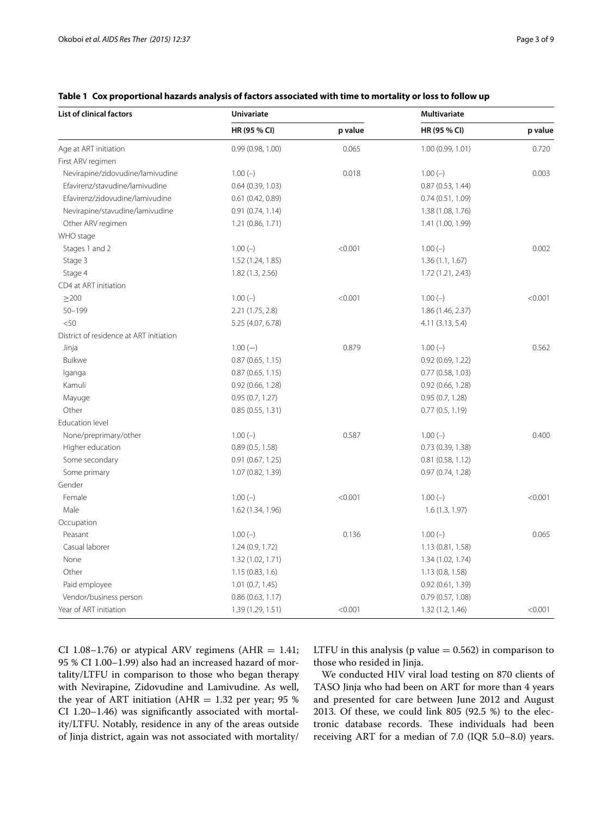| <b>List of clinical factors</b>         | Univariate          |         | <b>Multivariate</b> |         |  |
|-----------------------------------------|---------------------|---------|---------------------|---------|--|
|                                         | HR (95 % CI)        | p value | HR (95 % CI)        | p value |  |
| Age at ART initiation                   | 0.99(0.98, 1.00)    | 0.065   | 1.00 (0.99, 1.01)   | 0.720   |  |
| First ARV regimen                       |                     |         |                     |         |  |
| Nevirapine/zidovudine/lamivudine        | $1.00(-)$           | 0.018   | $1.00(-)$           | 0.003   |  |
| Efavirenz/stavudine/lamivudine          | 0.64(0.39, 1.03)    |         | 0.87(0.53, 1.44)    |         |  |
| Efavirenz/zidovudine/lamivudine         | 0.61(0.42, 0.89)    |         | 0.74(0.51, 1.09)    |         |  |
| Nevirapine/stavudine/lamivudine         | 0.91(0.74, 1.14)    |         | 1.38 (1.08, 1.76)   |         |  |
| Other ARV regimen                       | 1.21(0.86, 1.71)    |         | 1.41 (1.00, 1.99)   |         |  |
| WHO stage                               |                     |         |                     |         |  |
| Stages 1 and 2                          | $1.00(-)$           | < 0.001 | $1.00(-)$           | 0.002   |  |
| Stage 3                                 | 1.52 (1.24, 1.85)   |         | 1.36(1.1, 1.67)     |         |  |
| Stage 4                                 | 1.82(1.3, 2.56)     |         | 1.72 (1.21, 2.43)   |         |  |
| CD4 at ART initiation                   |                     |         |                     |         |  |
| $\geq$ 200                              | $1.00(-)$           | < 0.001 | $1.00(-)$           | < 0.001 |  |
| $50 - 199$                              | 2.21(1.75, 2.8)     |         | 1.86 (1.46, 2.37)   |         |  |
| < 50                                    | 5.25 (4.07, 6.78)   |         | 4.11(3.13, 5.4)     |         |  |
| District of residence at ART initiation |                     |         |                     |         |  |
| Jinja                                   | $1.00(-)$           | 0.879   | $1.00(-)$           | 0.562   |  |
| Buikwe                                  | 0.87(0.65, 1.15)    |         | 0.92(0.69, 1.22)    |         |  |
| lganga                                  | 0.87(0.65, 1.15)    |         | 0.77(0.58, 1.03)    |         |  |
| Kamuli                                  | $0.92$ (0.66, 1.28) |         | $0.92$ (0.66, 1.28) |         |  |
| Mayuge                                  | 0.95(0.7, 1.27)     |         | 0.95(0.7, 1.28)     |         |  |
| Other                                   | 0.85(0.55, 1.31)    |         | 0.77(0.5, 1.19)     |         |  |
| Education level                         |                     |         |                     |         |  |
| None/preprimary/other                   | $1.00(-)$           | 0.587   | $1.00(-)$           | 0.400   |  |
| Higher education                        | 0.89(0.5, 1.58)     |         | 0.73(0.39, 1.38)    |         |  |
| Some secondary                          | 0.91(0.67, 1.25)    |         | $0.81$ (0.58, 1.12) |         |  |
| Some primary                            | 1.07 (0.82, 1.39)   |         | 0.97(0.74, 1.28)    |         |  |
| Gender                                  |                     |         |                     |         |  |
| Female                                  | $1.00(-)$           | < 0.001 | $1.00(-)$           | < 0.001 |  |
| Male                                    | 1.62 (1.34, 1.96)   |         | 1.6(1.3, 1.97)      |         |  |
| Occupation                              |                     |         |                     |         |  |
| Peasant                                 | $1.00(-)$           | 0.136   | $1.00(-)$           | 0.065   |  |
| Casual laborer                          | 1.24(0.9, 1.72)     |         | 1.13(0.81, 1.58)    |         |  |
| None                                    | 1.32(1.02, 1.71)    |         | 1.34 (1.02, 1.74)   |         |  |
| Other                                   | 1.15(0.83, 1.6)     |         | 1.13(0.8, 1.58)     |         |  |
| Paid employee                           | 1.01(0.7, 1.45)     |         | 0.92(0.61, 1.39)    |         |  |
| Vendor/business person                  | 0.86(0.63, 1.17)    |         | 0.79(0.57, 1.08)    |         |  |
| Year of ART initiation                  | 1.39 (1.29, 1.51)   | < 0.001 | 1.32(1.2, 1.46)     | < 0.001 |  |

### <span id="page-2-0"></span>**Table 1 Cox proportional hazards analysis of factors associated with time to mortality or loss to follow up**

CI 1.08–1.76) or atypical ARV regimens (AHR  $=$  1.41; 95 % CI 1.00–1.99) also had an increased hazard of mortality/LTFU in comparison to those who began therapy with Nevirapine, Zidovudine and Lamivudine. As well, the year of ART initiation (AHR  $= 1.32$  per year; 95 % CI 1.20–1.46) was significantly associated with mortality/LTFU. Notably, residence in any of the areas outside of Jinja district, again was not associated with mortality/ LTFU in this analysis ( $p$  value  $= 0.562$ ) in comparison to those who resided in Jinja.

We conducted HIV viral load testing on 870 clients of TASO Jinja who had been on ART for more than 4 years and presented for care between June 2012 and August 2013. Of these, we could link 805 (92.5 %) to the electronic database records. These individuals had been receiving ART for a median of 7.0 (IQR 5.0–8.0) years.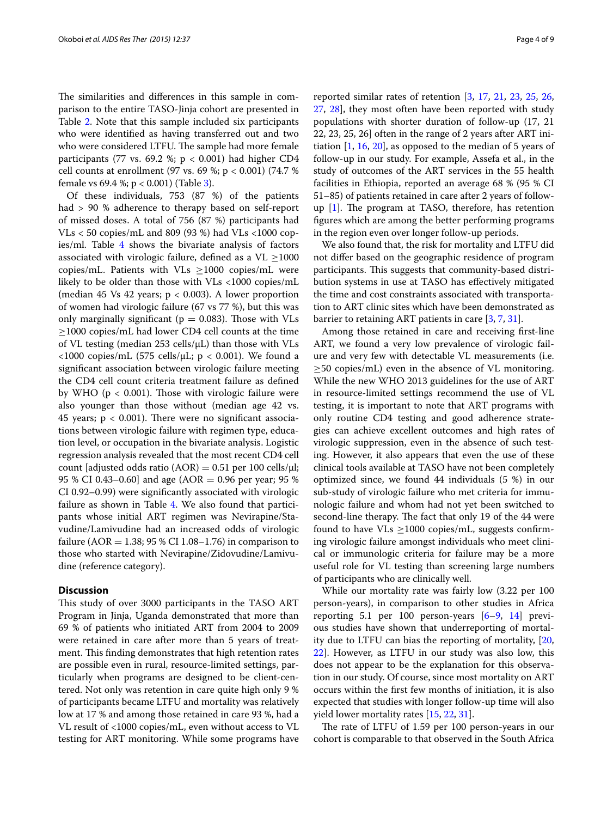The similarities and differences in this sample in comparison to the entire TASO-Jinja cohort are presented in Table [2](#page-4-0). Note that this sample included six participants who were identified as having transferred out and two who were considered LTFU. The sample had more female participants (77 vs. 69.2 %;  $p < 0.001$ ) had higher CD4 cell counts at enrollment (97 vs. 69 %; p < 0.001) (74.7 % female vs 69.4 %; p < 0.001) (Table [3\)](#page-5-0).

Of these individuals, 753 (87 %) of the patients had > 90 % adherence to therapy based on self-report of missed doses. A total of 756 (87 %) participants had  $V Ls < 50$  copies/mL and 809 (93 %) had  $V Ls < 1000$  copies/ml. Table [4](#page-6-0) shows the bivariate analysis of factors associated with virologic failure, defined as a  $VL \ge 1000$ copies/mL. Patients with VLs  $\geq$ 1000 copies/mL were likely to be older than those with VLs <1000 copies/mL (median 45 Vs 42 years; p < 0.003). A lower proportion of women had virologic failure (67 vs 77 %), but this was only marginally significant ( $p = 0.083$ ). Those with VLs ≥1000 copies/mL had lower CD4 cell counts at the time of VL testing (median 253 cells/μL) than those with VLs  $<1000$  copies/mL (575 cells/μL; p  $<0.001$ ). We found a significant association between virologic failure meeting the CD4 cell count criteria treatment failure as defined by WHO ( $p < 0.001$ ). Those with virologic failure were also younger than those without (median age 42 vs. 45 years;  $p < 0.001$ ). There were no significant associations between virologic failure with regimen type, education level, or occupation in the bivariate analysis. Logistic regression analysis revealed that the most recent CD4 cell count [adjusted odds ratio  $(AOR) = 0.51$  per 100 cells/ $\mu$ l; 95 % CI 0.43–0.60] and age (AOR = 0.96 per year; 95 % CI 0.92–0.99) were significantly associated with virologic failure as shown in Table [4.](#page-6-0) We also found that participants whose initial ART regimen was Nevirapine/Stavudine/Lamivudine had an increased odds of virologic failure (AOR = 1.38; 95 % CI 1.08–1.76) in comparison to those who started with Nevirapine/Zidovudine/Lamivudine (reference category).

#### **Discussion**

This study of over 3000 participants in the TASO ART Program in Jinja, Uganda demonstrated that more than 69 % of patients who initiated ART from 2004 to 2009 were retained in care after more than 5 years of treatment. This finding demonstrates that high retention rates are possible even in rural, resource-limited settings, particularly when programs are designed to be client-centered. Not only was retention in care quite high only 9 % of participants became LTFU and mortality was relatively low at 17 % and among those retained in care 93 %, had a VL result of <1000 copies/mL, even without access to VL testing for ART monitoring. While some programs have

reported similar rates of retention [\[3](#page-7-1), [17](#page-8-7), [21,](#page-8-9) [23](#page-8-10), [25,](#page-8-11) [26](#page-8-12), [27,](#page-8-13) [28](#page-8-14)], they most often have been reported with study populations with shorter duration of follow-up (17, 21 22, 23, 25, 26] often in the range of 2 years after ART initiation  $[1, 16, 20]$  $[1, 16, 20]$  $[1, 16, 20]$  $[1, 16, 20]$  $[1, 16, 20]$ , as opposed to the median of 5 years of follow-up in our study. For example, Assefa et al., in the study of outcomes of the ART services in the 55 health facilities in Ethiopia, reported an average 68 % (95 % CI 51–85) of patients retained in care after 2 years of followup [[1](#page-7-0)]. The program at TASO, therefore, has retention figures which are among the better performing programs in the region even over longer follow-up periods.

We also found that, the risk for mortality and LTFU did not differ based on the geographic residence of program participants. This suggests that community-based distribution systems in use at TASO has effectively mitigated the time and cost constraints associated with transportation to ART clinic sites which have been demonstrated as barrier to retaining ART patients in care [[3](#page-7-1), [7,](#page-7-5) [31](#page-8-16)].

Among those retained in care and receiving first-line ART, we found a very low prevalence of virologic failure and very few with detectable VL measurements (i.e.  $\geq$ 50 copies/mL) even in the absence of VL monitoring. While the new WHO 2013 guidelines for the use of ART in resource-limited settings recommend the use of VL testing, it is important to note that ART programs with only routine CD4 testing and good adherence strategies can achieve excellent outcomes and high rates of virologic suppression, even in the absence of such testing. However, it also appears that even the use of these clinical tools available at TASO have not been completely optimized since, we found 44 individuals (5 %) in our sub-study of virologic failure who met criteria for immunologic failure and whom had not yet been switched to second-line therapy. The fact that only 19 of the 44 were found to have  $V Ls \ge 1000$  copies/mL, suggests confirming virologic failure amongst individuals who meet clinical or immunologic criteria for failure may be a more useful role for VL testing than screening large numbers of participants who are clinically well.

While our mortality rate was fairly low (3.22 per 100 person-years), in comparison to other studies in Africa reporting 5.1 per 100 person-years [[6–](#page-7-4)[9](#page-8-17), [14\]](#page-8-18) previous studies have shown that underreporting of mortality due to LTFU can bias the reporting of mortality, [[20](#page-8-15), [22\]](#page-8-19). However, as LTFU in our study was also low, this does not appear to be the explanation for this observation in our study. Of course, since most mortality on ART occurs within the first few months of initiation, it is also expected that studies with longer follow-up time will also yield lower mortality rates [[15,](#page-8-20) [22](#page-8-19), [31\]](#page-8-16).

The rate of LTFU of 1.59 per 100 person-years in our cohort is comparable to that observed in the South Africa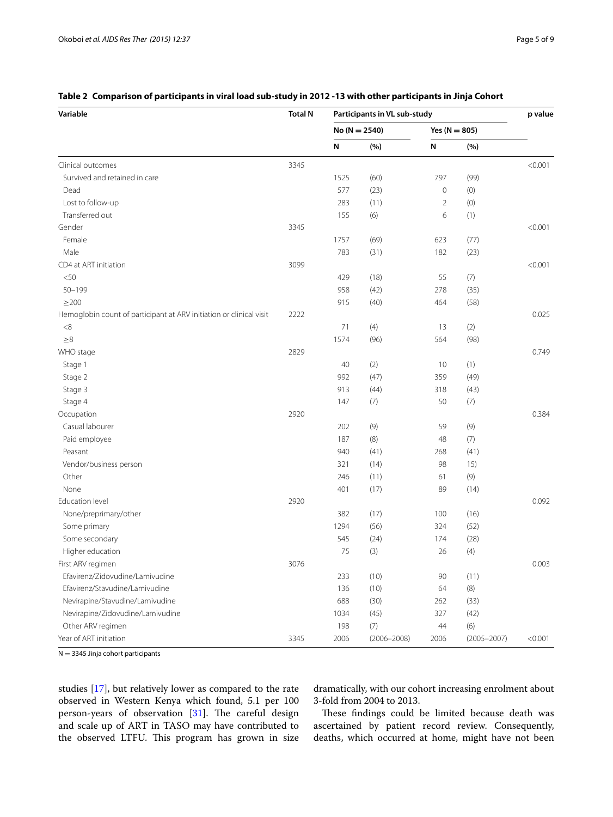| Variable                                                            | <b>Total N</b> | Participants in VL sub-study |                 |                 |                 | p value |
|---------------------------------------------------------------------|----------------|------------------------------|-----------------|-----------------|-----------------|---------|
|                                                                     |                | $No (N = 2540)$              |                 | Yes $(N = 805)$ |                 |         |
|                                                                     |                | N                            | (%)             | N               | (%)             |         |
| Clinical outcomes                                                   | 3345           |                              |                 |                 |                 | < 0.001 |
| Survived and retained in care                                       |                | 1525                         | (60)            | 797             | (99)            |         |
| Dead                                                                |                | 577                          | (23)            | 0               | (0)             |         |
| Lost to follow-up                                                   |                | 283                          | (11)            | $\overline{2}$  | (0)             |         |
| Transferred out                                                     |                | 155                          | (6)             | 6               | (1)             |         |
| Gender                                                              | 3345           |                              |                 |                 |                 | < 0.001 |
| Female                                                              |                | 1757                         | (69)            | 623             | (77)            |         |
| Male                                                                |                | 783                          | (31)            | 182             | (23)            |         |
| CD4 at ART initiation                                               | 3099           |                              |                 |                 |                 | < 0.001 |
| < 50                                                                |                | 429                          | (18)            | 55              | (7)             |         |
| $50 - 199$                                                          |                | 958                          | (42)            | 278             | (35)            |         |
| $\geq$ 200                                                          |                | 915                          | (40)            | 464             | (58)            |         |
| Hemoglobin count of participant at ARV initiation or clinical visit | 2222           |                              |                 |                 |                 | 0.025   |
| $<\!8$                                                              |                | 71                           | (4)             | 13              | (2)             |         |
| $\geq 8$                                                            |                | 1574                         | (96)            | 564             | (98)            |         |
| WHO stage                                                           | 2829           |                              |                 |                 |                 | 0.749   |
| Stage 1                                                             |                | 40                           | (2)             | 10              | (1)             |         |
| Stage 2                                                             |                | 992                          | (47)            | 359             | (49)            |         |
| Stage 3                                                             |                | 913                          | (44)            | 318             | (43)            |         |
| Stage 4                                                             |                | 147                          | (7)             | 50              | (7)             |         |
| Occupation                                                          | 2920           |                              |                 |                 |                 | 0.384   |
| Casual labourer                                                     |                | 202                          | (9)             | 59              | (9)             |         |
| Paid employee                                                       |                | 187                          | (8)             | 48              | (7)             |         |
| Peasant                                                             |                | 940                          | (41)            | 268             | (41)            |         |
| Vendor/business person                                              |                | 321                          | (14)            | 98              | 15)             |         |
| Other                                                               |                | 246                          | (11)            | 61              | (9)             |         |
| None                                                                |                | 401                          | (17)            | 89              | (14)            |         |
| Education level                                                     | 2920           |                              |                 |                 |                 | 0.092   |
| None/preprimary/other                                               |                | 382                          | (17)            | 100             | (16)            |         |
| Some primary                                                        |                | 1294                         | (56)            | 324             | (52)            |         |
| Some secondary                                                      |                | 545                          | (24)            | 174             | (28)            |         |
| Higher education                                                    |                | 75                           | (3)             | 26              | (4)             |         |
| First ARV regimen                                                   | 3076           |                              |                 |                 |                 | 0.003   |
| Efavirenz/Zidovudine/Lamivudine                                     |                | 233                          | (10)            | 90              | (11)            |         |
| Efavirenz/Stavudine/Lamivudine                                      |                | 136                          | (10)            | 64              | (8)             |         |
| Nevirapine/Stavudine/Lamivudine                                     |                | 688                          | (30)            | 262             | (33)            |         |
| Nevirapine/Zidovudine/Lamivudine                                    |                | 1034                         | (45)            | 327             | (42)            |         |
| Other ARV regimen                                                   |                | 198                          | (7)             | 44              | (6)             |         |
| Year of ART initiation                                              | 3345           | 2006                         | $(2006 - 2008)$ | 2006            | $(2005 - 2007)$ | < 0.001 |

## <span id="page-4-0"></span>**Table 2 Comparison of participants in viral load sub-study in 2012 -13 with other participants in Jinja Cohort**

 $N = 3345$  Jinja cohort participants

studies [\[17](#page-8-7)], but relatively lower as compared to the rate observed in Western Kenya which found, 5.1 per 100 person-years of observation [\[31](#page-8-16)]. The careful design and scale up of ART in TASO may have contributed to the observed LTFU. This program has grown in size dramatically, with our cohort increasing enrolment about 3-fold from 2004 to 2013.

These findings could be limited because death was ascertained by patient record review. Consequently, deaths, which occurred at home, might have not been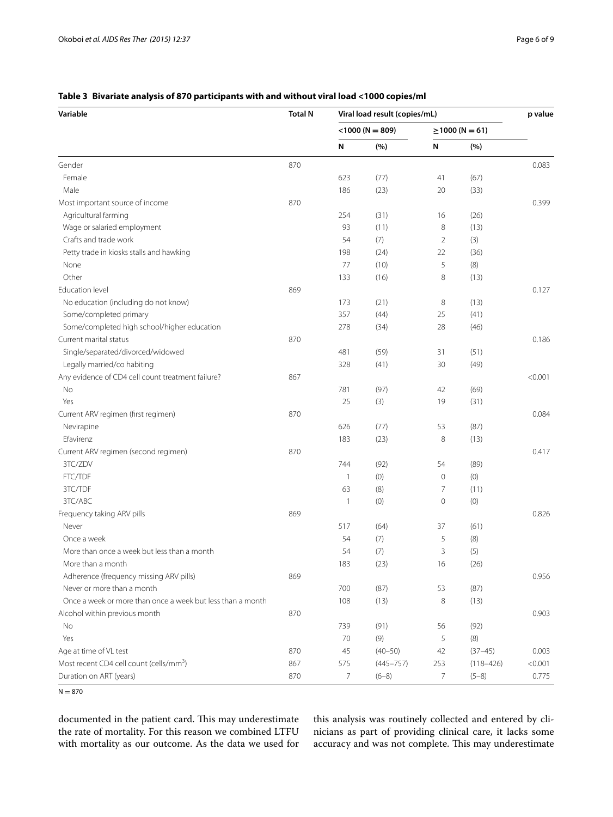## **Variable Total N Viral load result (copies/mL) p value**  $\leq$ 1000 (N = 809)  $\geq$ 1000 (N = 61) **N (%) N (%)** Gender 1986 – September 1987 – Stephen 1987 – Stephen 1987 – Stephen 1987 – Stephen 1987 – Stephen 1987 – Stephen 1987 – Stephen 1987 – Stephen 1988 – Stephen 1988 – Stephen 1988 – Stephen 1988 – Stephen 1988 – Stephen 198 Female 623 (77) 41 (67) Male 186 (23) 20 (33) Most important source of income  $\qquad \qquad 870$  0.399 Agricultural farming 254 (31) 16 (26) Wage or salaried employment and the same state of the same state of the same state of the state of the state of the state of the state of the state of the state of the state of the state of the state of the state of the st Crafts and trade work **54** (7) 2 (3) Petty trade in kiosks stalls and hawking and the state of the state of the state of the 198 (24) 22 (36) None 5 (8)  $\overline{77}$  (10) 5 (8) Other 133 (16) 8 (13) Education level 869 0.127 No education (including do not know) 173 (21) 8 (13) Some/completed primary 357 (44) 25 (41) Some/completed high school/higher education 278 (34) 28 (46) Current marital status and the control of the control of the control of the control of the control of the control of the control of the control of the control of the control of the control of the control of the control of Single/separated/divorced/widowed 31 (51) 481 (59) 31 (51) Legally married/co habiting and the state of the state of the state of the state of the state of the state of the state of the state of the state of the state of the state of the state of the state of the state of the stat Any evidence of CD4 cell count treatment failure? 867  $\sim$  867 No 781 (97) 42 (69) Yes 25 (3) 19 (31) Current ARV regimen (first regimen) 870 0.084 Nevirapine 626 (77) 53 (87) Efavirenz 183 (23) 8 (13) Current ARV regimen (second regimen) 870 0.417 3TC/ZDV 744 (92) 54 (89) FTC/TDF  $1$  (0)  $0$  (0) 3TC/TDF 63 (8) 7 (11) 3TC/ABC 1 (0) 0 (0) Frequency taking ARV pills 869 0.826 Never 517 (64) 37 (61) Once a week  $(8)$ More than once a week but less than a month 54 (7) 3 (5) More than a month 183 (23) 16 (26) Adherence (frequency missing ARV pills) 869 0.956 Never or more than a month that is not contact than a month than the contact of the contact of the contact of the contact of the contact of the contact of the contact of the contact of the contact of the contact of the con Once a week or more than once a week but less than a month 108 (13) 8 (13) Alcohol within previous month and the control of the control of the control of the control of the control of the control of the control of the control of the control of the control of the control of the control of the cont No 739 (91) 56 (92) Yes 70 (9) 5 (8) Age at time of VL test  $870$   $45$   $(40-50)$   $42$   $(37-45)$  0.003 Most recent CD4 cell count (cells/mm<sup>3</sup>) ) 867 575 (445–757) 253 (118–426) <0.001 Duration on ART (years) 870 7 (6–8) 7 (5–8) 0.775

### <span id="page-5-0"></span>**Table 3 Bivariate analysis of 870 participants with and without viral load <1000 copies/ml**

 $N = 870$ 

documented in the patient card. This may underestimate the rate of mortality. For this reason we combined LTFU with mortality as our outcome. As the data we used for

this analysis was routinely collected and entered by clinicians as part of providing clinical care, it lacks some accuracy and was not complete. This may underestimate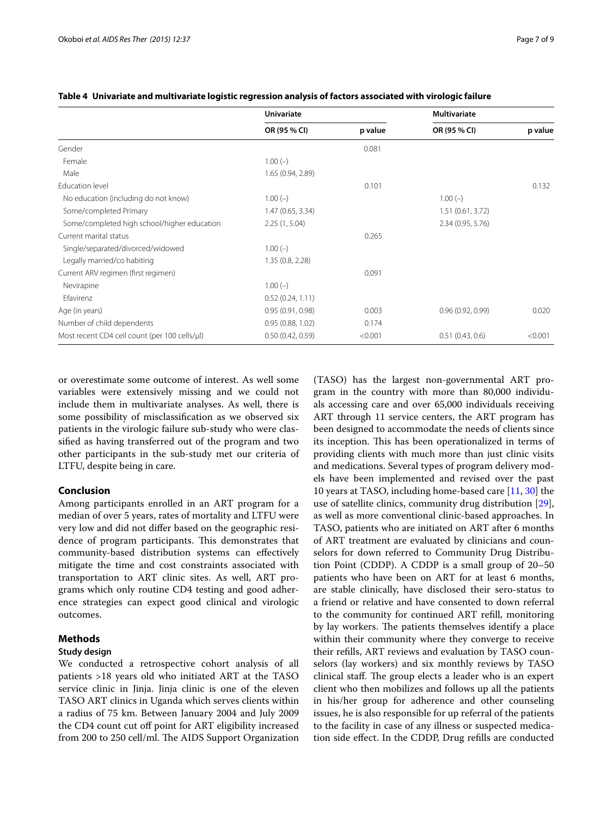|                                               | Univariate        |         | Multivariate      |         |  |
|-----------------------------------------------|-------------------|---------|-------------------|---------|--|
|                                               | OR (95 % CI)      | p value | OR (95 % CI)      | p value |  |
| Gender                                        |                   | 0.081   |                   |         |  |
| Female                                        | $1.00(-)$         |         |                   |         |  |
| Male                                          | 1.65 (0.94, 2.89) |         |                   |         |  |
| Education level                               |                   | 0.101   |                   | 0.132   |  |
| No education (including do not know)          | $1.00(-)$         |         | $1.00(-)$         |         |  |
| Some/completed Primary                        | 1.47(0.65, 3.34)  |         | 1.51(0.61, 3.72)  |         |  |
| Some/completed high school/higher education   | 2.25(1, 5.04)     |         | 2.34 (0.95, 5.76) |         |  |
| Current marital status                        |                   | 0.265   |                   |         |  |
| Single/separated/divorced/widowed             | $1.00(-)$         |         |                   |         |  |
| Legally married/co habiting                   | 1.35(0.8, 2.28)   |         |                   |         |  |
| Current ARV regimen (first regimen)           |                   | 0.091   |                   |         |  |
| Nevirapine                                    | $1.00(-)$         |         |                   |         |  |
| Efavirenz                                     | 0.52(0.24, 1.11)  |         |                   |         |  |
| Age (in years)                                | 0.95(0.91, 0.98)  | 0.003   | 0.96(0.92, 0.99)  | 0.020   |  |
| Number of child dependents                    | 0.95(0.88, 1.02)  | 0.174   |                   |         |  |
| Most recent CD4 cell count (per 100 cells/µl) | 0.50(0.42, 0.59)  | < 0.001 | 0.51(0.43, 0.6)   | < 0.001 |  |

#### <span id="page-6-0"></span>**Table 4 Univariate and multivariate logistic regression analysis of factors associated with virologic failure**

or overestimate some outcome of interest. As well some variables were extensively missing and we could not include them in multivariate analyses. As well, there is some possibility of misclassification as we observed six patients in the virologic failure sub-study who were classified as having transferred out of the program and two other participants in the sub-study met our criteria of LTFU, despite being in care.

## **Conclusion**

Among participants enrolled in an ART program for a median of over 5 years, rates of mortality and LTFU were very low and did not differ based on the geographic residence of program participants. This demonstrates that community-based distribution systems can effectively mitigate the time and cost constraints associated with transportation to ART clinic sites. As well, ART programs which only routine CD4 testing and good adherence strategies can expect good clinical and virologic outcomes.

#### **Methods**

#### **Study design**

We conducted a retrospective cohort analysis of all patients >18 years old who initiated ART at the TASO service clinic in Jinja. Jinja clinic is one of the eleven TASO ART clinics in Uganda which serves clients within a radius of 75 km. Between January 2004 and July 2009 the CD4 count cut off point for ART eligibility increased from 200 to 250 cell/ml. The AIDS Support Organization (TASO) has the largest non-governmental ART program in the country with more than 80,000 individuals accessing care and over 65,000 individuals receiving ART through 11 service centers, the ART program has been designed to accommodate the needs of clients since its inception. This has been operationalized in terms of providing clients with much more than just clinic visits and medications. Several types of program delivery models have been implemented and revised over the past 10 years at TASO, including home-based care [[11,](#page-8-21) [30](#page-8-22)] the use of satellite clinics, community drug distribution [\[29](#page-8-23)], as well as more conventional clinic-based approaches. In TASO, patients who are initiated on ART after 6 months of ART treatment are evaluated by clinicians and counselors for down referred to Community Drug Distribution Point (CDDP). A CDDP is a small group of 20–50 patients who have been on ART for at least 6 months, are stable clinically, have disclosed their sero-status to a friend or relative and have consented to down referral to the community for continued ART refill, monitoring by lay workers. The patients themselves identify a place within their community where they converge to receive their refills, ART reviews and evaluation by TASO counselors (lay workers) and six monthly reviews by TASO clinical staff. The group elects a leader who is an expert client who then mobilizes and follows up all the patients in his/her group for adherence and other counseling issues, he is also responsible for up referral of the patients to the facility in case of any illness or suspected medication side effect. In the CDDP, Drug refills are conducted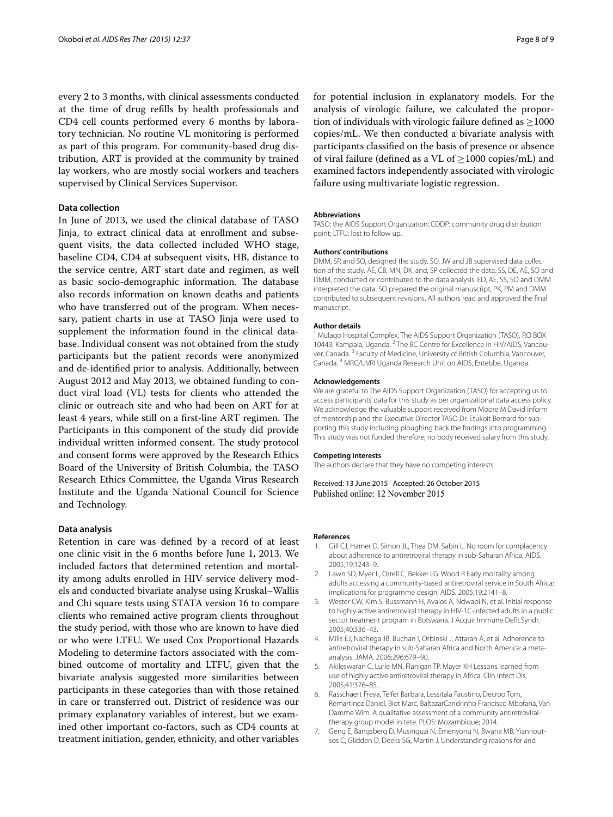every 2 to 3 months, with clinical assessments conducted at the time of drug refills by health professionals and CD4 cell counts performed every 6 months by laboratory technician. No routine VL monitoring is performed as part of this program. For community-based drug distribution, ART is provided at the community by trained lay workers, who are mostly social workers and teachers supervised by Clinical Services Supervisor.

## **Data collection**

In June of 2013, we used the clinical database of TASO Jinja, to extract clinical data at enrollment and subsequent visits, the data collected included WHO stage, baseline CD4, CD4 at subsequent visits, HB, distance to the service centre, ART start date and regimen, as well as basic socio-demographic information. The database also records information on known deaths and patients who have transferred out of the program. When necessary, patient charts in use at TASO Jinja were used to supplement the information found in the clinical database. Individual consent was not obtained from the study participants but the patient records were anonymized and de-identified prior to analysis. Additionally, between August 2012 and May 2013, we obtained funding to conduct viral load (VL) tests for clients who attended the clinic or outreach site and who had been on ART for at least 4 years, while still on a first-line ART regimen. The Participants in this component of the study did provide individual written informed consent. The study protocol and consent forms were approved by the Research Ethics Board of the University of British Columbia, the TASO Research Ethics Committee, the Uganda Virus Research Institute and the Uganda National Council for Science and Technology.

#### **Data analysis**

Retention in care was defined by a record of at least one clinic visit in the 6 months before June 1, 2013. We included factors that determined retention and mortality among adults enrolled in HIV service delivery models and conducted bivariate analyse using Kruskal–Wallis and Chi square tests using STATA version 16 to compare clients who remained active program clients throughout the study period, with those who are known to have died or who were LTFU. We used Cox Proportional Hazards Modeling to determine factors associated with the combined outcome of mortality and LTFU, given that the bivariate analysis suggested more similarities between participants in these categories than with those retained in care or transferred out. District of residence was our primary explanatory variables of interest, but we examined other important co-factors, such as CD4 counts at treatment initiation, gender, ethnicity, and other variables for potential inclusion in explanatory models. For the analysis of virologic failure, we calculated the proportion of individuals with virologic failure defined as  $\geq$ 1000 copies/mL. We then conducted a bivariate analysis with participants classified on the basis of presence or absence of viral failure (defined as a VL of  $\geq$ 1000 copies/mL) and examined factors independently associated with virologic failure using multivariate logistic regression.

#### **Abbreviations**

TASO: the AIDS Support Organization; CDDP: community drug distribution point; LTFU: lost to follow up.

#### **Authors' contributions**

DMM, SP, and SO, designed the study. SO, JW and JB supervised data collection of the study. AE, CB, MN, DK, and, SP collected the data. SS, DE, AE, SO and DMM, conducted or contributed to the data analysis. ED, AE, SS, SO and DMM interpreted the data. SO prepared the original manuscript, PK, PM and DMM contributed to subsequent revisions. All authors read and approved the final manuscript.

#### **Author details**

<sup>1</sup> Mulago Hospital Complex, The AIDS Support Organization (TASO), P.O BOX 10443, Kampala, Uganda. <sup>2</sup> The BC Centre for Excellence in HIV/AIDS, Vancouver, Canada.<sup>3</sup> Faculty of Medicine, University of British Columbia, Vancouver, Canada. <sup>4</sup> MRC/UVRI Uganda Research Unit on AIDS, Entebbe, Uganda.

#### **Acknowledgements**

We are grateful to The AIDS Support Organization (TASO) for accepting us to access participants' data for this study as per organizational data access policy. We acknowledge the valuable support received from Moore M David inform of mentorship and the Executive Director TASO Dr. Etukoit Bernard for supporting this study including ploughing back the findings into programming. This study was not funded therefore; no body received salary from this study.

#### **Competing interests**

The authors declare that they have no competing interests.

Received: 13 June 2015 Accepted: 26 October 2015 Published online: 12 November 2015

#### **References**

- <span id="page-7-0"></span>1. Gill CJ, Hamer D, Simon JL, Thea DM, Sabin L. No room for complacency about adherence to antiretroviral therapy in sub-Saharan Africa. AIDS. 2005;19:1243–9.
- 2. Lawn SD, Myer L, Orrell C, Bekker LG. Wood R Early mortality among adults accessing a community-based antiretroviral service in South Africa: implications for programme design. AIDS. 2005;19:2141–8.
- <span id="page-7-1"></span>3. Wester CW, Kim S, Bussmann H, Avalos A, Ndwapi N, et al. Initial response to highly active antiretroviral therapy in HIV-1C-infected adults in a public sector treatment program in Botswana. J Acquir Immune DeficSyndr. 2005;40:336–43.
- <span id="page-7-3"></span>4. Mills EJ, Nachega JB, Buchan I, Orbinski J, Attaran A, et al. Adherence to antiretroviral therapy in sub-Saharan Africa and North America: a metaanalysis. JAMA. 2006;296:679–90.
- <span id="page-7-2"></span>5. Akileswaran C, Lurie MN, Flanigan TP. Mayer KH Lessons learned from use of highly active antiretroviral therapy in Africa. Clin Infect Dis. 2005;41:376–85.
- <span id="page-7-4"></span>6. Rasschaert Freya, Telfer Barbara, Lessitala Faustino, Decroo Tom, Remartinez Daniel, Biot Marc, BaltazarCandrinho Francisco Mbofana, Van Damme Wim. A qualitative assessment of a community antiretroviraltherapy group model in tete. PLOS: Mozambique; 2014.
- <span id="page-7-5"></span>7. Geng E, Bangsberg D, Musinguzi N, Emenyonu N, Bwana MB, Yiannoutsos C, Glidden D, Deeks SG, Martin J. Understanding reasons for and